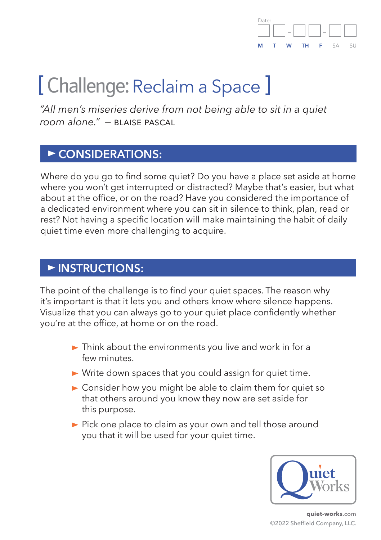

# [ Challenge: Reclaim a Space ]

*"All men's miseries derive from not being able to sit in a quiet room alone." —* blaise pascal

#### **CONSIDERATIONS:**

Where do you go to find some quiet? Do you have a place set aside at home where you won't get interrupted or distracted? Maybe that's easier, but what about at the office, or on the road? Have you considered the importance of a dedicated environment where you can sit in silence to think, plan, read or rest? Not having a specific location will make maintaining the habit of daily quiet time even more challenging to acquire.

#### **INSTRUCTIONS:**

The point of the challenge is to find your quiet spaces. The reason why it's important is that it lets you and others know where silence happens. Visualize that you can always go to your quiet place confidently whether you're at the office, at home or on the road.

- $\blacktriangleright$  Think about the environments you live and work in for a few minutes.
- Write down spaces that you could assign for quiet time.
- $\triangleright$  Consider how you might be able to claim them for quiet so that others around you know they now are set aside for this purpose.
- Pick one place to claim as your own and tell those around you that it will be used for your quiet time.